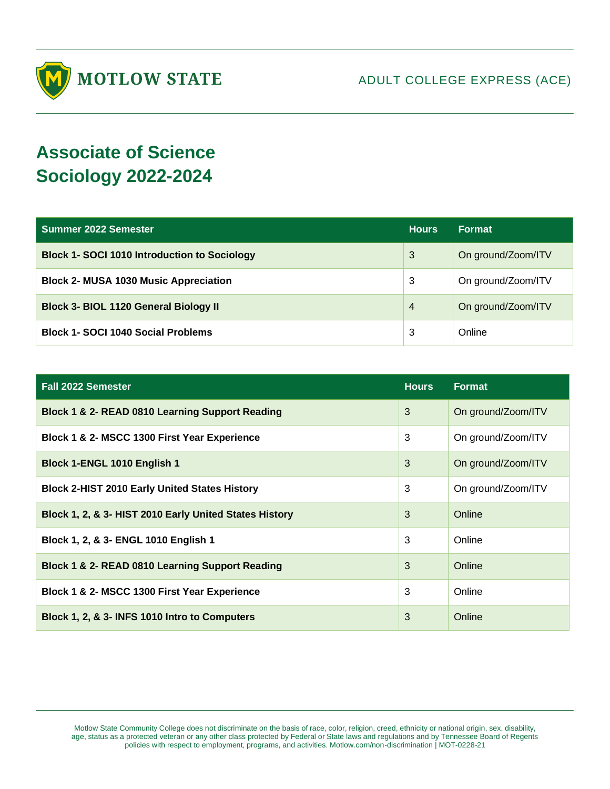

## **Associate of Science Sociology 2022-2024**

| Summer 2022 Semester                                | <b>Hours</b>   | <b>Format</b>      |
|-----------------------------------------------------|----------------|--------------------|
| <b>Block 1- SOCI 1010 Introduction to Sociology</b> | 3              | On ground/Zoom/ITV |
| <b>Block 2- MUSA 1030 Music Appreciation</b>        | 3              | On ground/Zoom/ITV |
| <b>Block 3- BIOL 1120 General Biology II</b>        | $\overline{4}$ | On ground/Zoom/ITV |
| <b>Block 1- SOCI 1040 Social Problems</b>           | 3              | Online             |

| <b>Fall 2022 Semester</b>                              | <b>Hours</b> | Format             |
|--------------------------------------------------------|--------------|--------------------|
| Block 1 & 2- READ 0810 Learning Support Reading        | 3            | On ground/Zoom/ITV |
| Block 1 & 2- MSCC 1300 First Year Experience           | 3            | On ground/Zoom/ITV |
| Block 1-ENGL 1010 English 1                            | 3            | On ground/Zoom/ITV |
| <b>Block 2-HIST 2010 Early United States History</b>   | 3            | On ground/Zoom/ITV |
| Block 1, 2, & 3- HIST 2010 Early United States History | 3            | Online             |
| Block 1, 2, & 3- ENGL 1010 English 1                   | 3            | Online             |
| Block 1 & 2- READ 0810 Learning Support Reading        | 3            | Online             |
| Block 1 & 2- MSCC 1300 First Year Experience           | 3            | Online             |
| Block 1, 2, & 3- INFS 1010 Intro to Computers          | 3            | Online             |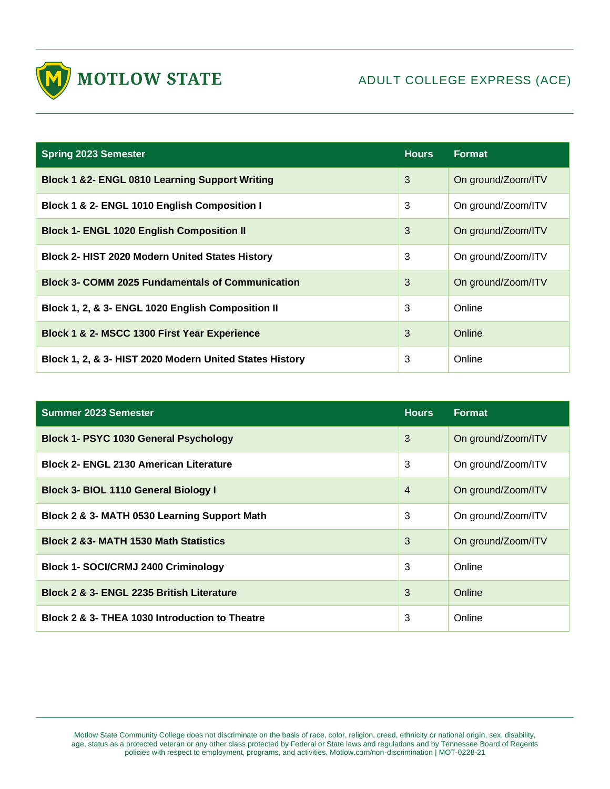

| <b>Spring 2023 Semester</b>                               | <b>Hours</b> | <b>Format</b>      |
|-----------------------------------------------------------|--------------|--------------------|
| <b>Block 1 &amp;2- ENGL 0810 Learning Support Writing</b> | 3            | On ground/Zoom/ITV |
| Block 1 & 2- ENGL 1010 English Composition I              | 3            | On ground/Zoom/ITV |
| <b>Block 1- ENGL 1020 English Composition II</b>          | 3            | On ground/Zoom/ITV |
| <b>Block 2- HIST 2020 Modern United States History</b>    | 3            | On ground/Zoom/ITV |
| <b>Block 3- COMM 2025 Fundamentals of Communication</b>   | 3            | On ground/Zoom/ITV |
| Block 1, 2, & 3- ENGL 1020 English Composition II         | 3            | Online             |
| Block 1 & 2- MSCC 1300 First Year Experience              | 3            | Online             |
| Block 1, 2, & 3- HIST 2020 Modern United States History   | 3            | Online             |

| <b>Summer 2023 Semester</b>                      | <b>Hours</b>   | <b>Format</b>      |
|--------------------------------------------------|----------------|--------------------|
| <b>Block 1- PSYC 1030 General Psychology</b>     | 3              | On ground/Zoom/ITV |
| <b>Block 2- ENGL 2130 American Literature</b>    | 3              | On ground/Zoom/ITV |
| <b>Block 3- BIOL 1110 General Biology I</b>      | $\overline{4}$ | On ground/Zoom/ITV |
| Block 2 & 3- MATH 0530 Learning Support Math     | 3              | On ground/Zoom/ITV |
| <b>Block 2 &amp;3- MATH 1530 Math Statistics</b> | 3              | On ground/Zoom/ITV |
| <b>Block 1- SOCI/CRMJ 2400 Criminology</b>       | 3              | Online             |
| Block 2 & 3- ENGL 2235 British Literature        | 3              | Online             |
| Block 2 & 3- THEA 1030 Introduction to Theatre   | 3              | Online             |